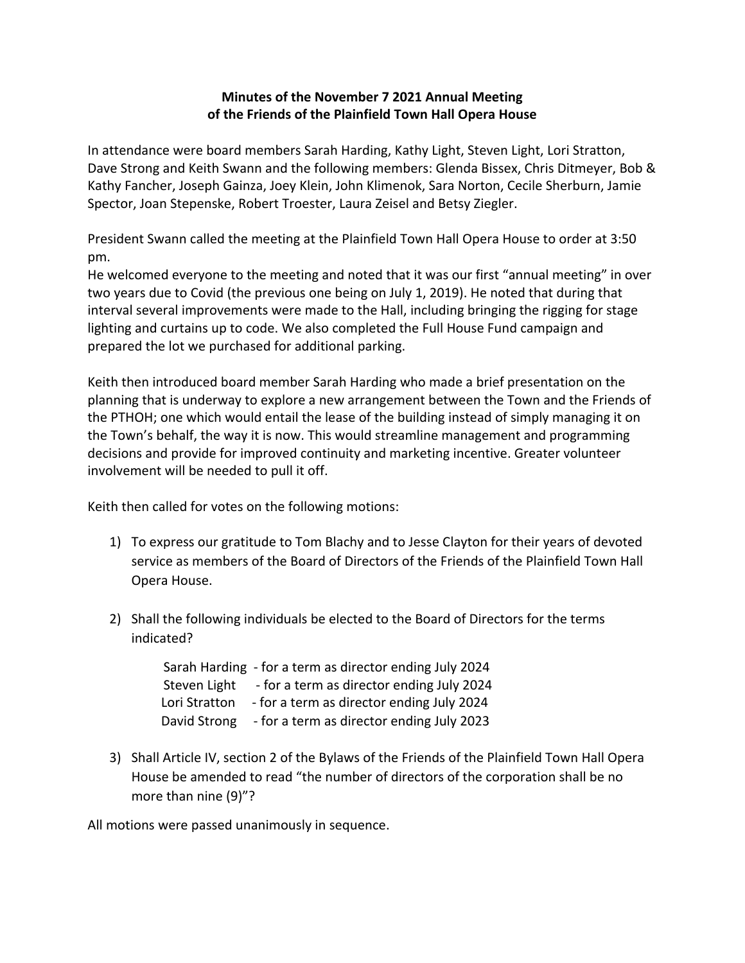## **Minutes of the November 7 2021 Annual Meeting of the Friends of the Plainfield Town Hall Opera House**

In attendance were board members Sarah Harding, Kathy Light, Steven Light, Lori Stratton, Dave Strong and Keith Swann and the following members: Glenda Bissex, Chris Ditmeyer, Bob & Kathy Fancher, Joseph Gainza, Joey Klein, John Klimenok, Sara Norton, Cecile Sherburn, Jamie Spector, Joan Stepenske, Robert Troester, Laura Zeisel and Betsy Ziegler.

President Swann called the meeting at the Plainfield Town Hall Opera House to order at 3:50 pm.

He welcomed everyone to the meeting and noted that it was our first "annual meeting" in over two years due to Covid (the previous one being on July 1, 2019). He noted that during that interval several improvements were made to the Hall, including bringing the rigging for stage lighting and curtains up to code. We also completed the Full House Fund campaign and prepared the lot we purchased for additional parking.

Keith then introduced board member Sarah Harding who made a brief presentation on the planning that is underway to explore a new arrangement between the Town and the Friends of the PTHOH; one which would entail the lease of the building instead of simply managing it on the Town's behalf, the way it is now. This would streamline management and programming decisions and provide for improved continuity and marketing incentive. Greater volunteer involvement will be needed to pull it off.

Keith then called for votes on the following motions:

- 1) To express our gratitude to Tom Blachy and to Jesse Clayton for their years of devoted service as members of the Board of Directors of the Friends of the Plainfield Town Hall Opera House.
- 2) Shall the following individuals be elected to the Board of Directors for the terms indicated?

 Sarah Harding - for a term as director ending July 2024 Steven Light - for a term as director ending July 2024 Lori Stratton - for a term as director ending July 2024 David Strong - for a term as director ending July 2023

3) Shall Article IV, section 2 of the Bylaws of the Friends of the Plainfield Town Hall Opera House be amended to read "the number of directors of the corporation shall be no more than nine (9)"?

All motions were passed unanimously in sequence.